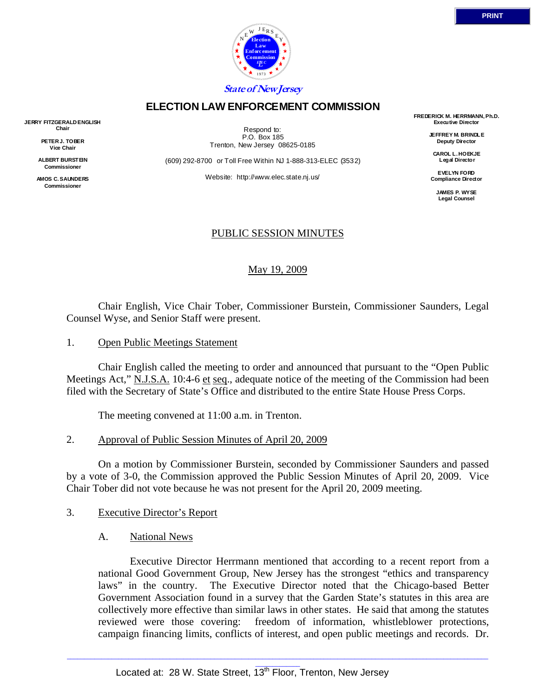

### **ELECTION LAW ENFORCEMENT COMMISSION**

**JERRY FITZGERALD ENGLISH Chair** 

> **PETER J. TOBER Vice Chair**

**ALBERT BURSTEIN Commissioner** 

**AMOS C. SAUNDERS Commissioner** 

Respond to: P.O. Box 185 Trenton, New Jersey 08625-0185

(609) 292-8700 or Toll Free Within NJ 1-888-313-ELEC (3532)

Website: http://www.elec.state.nj.us/

**FREDERICK M. HERRMANN, Ph.D. Executive Director** 

> **JEFFREY M. BRINDLE Deputy Director**

**CAROL L. HOEKJE Legal Director** 

**EVELYN FORD Compliance Director** 

> **JAMES P. WYSE Legal Counsel**

## PUBLIC SESSION MINUTES

May 19, 2009

 Chair English, Vice Chair Tober, Commissioner Burstein, Commissioner Saunders, Legal Counsel Wyse, and Senior Staff were present.

1. Open Public Meetings Statement

 Chair English called the meeting to order and announced that pursuant to the "Open Public Meetings Act," N.J.S.A. 10:4-6 et seq., adequate notice of the meeting of the Commission had been filed with the Secretary of State's Office and distributed to the entire State House Press Corps.

The meeting convened at 11:00 a.m. in Trenton.

#### 2. Approval of Public Session Minutes of April 20, 2009

 On a motion by Commissioner Burstein, seconded by Commissioner Saunders and passed by a vote of 3-0, the Commission approved the Public Session Minutes of April 20, 2009. Vice Chair Tober did not vote because he was not present for the April 20, 2009 meeting.

### 3. Executive Director's Report

A. National News

 Executive Director Herrmann mentioned that according to a recent report from a national Good Government Group, New Jersey has the strongest "ethics and transparency laws" in the country. The Executive Director noted that the Chicago-based Better Government Association found in a survey that the Garden State's statutes in this area are collectively more effective than similar laws in other states. He said that among the statutes reviewed were those covering: freedom of information, whistleblower protections, campaign financing limits, conflicts of interest, and open public meetings and records. Dr.

 $\Box$  , and the state of the state of the state of the state of the state of the state of the state of the state of the state of the state of the state of the state of the state of the state of the state of the state of th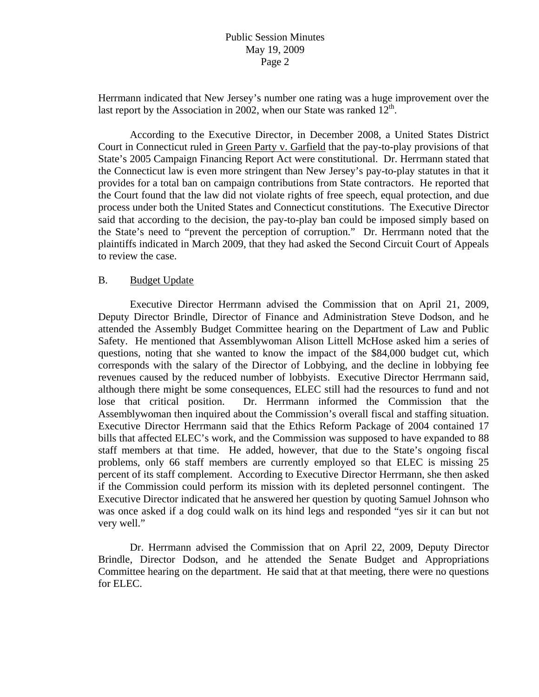Herrmann indicated that New Jersey's number one rating was a huge improvement over the last report by the Association in 2002, when our State was ranked  $12<sup>th</sup>$ .

 According to the Executive Director, in December 2008, a United States District Court in Connecticut ruled in Green Party v. Garfield that the pay-to-play provisions of that State's 2005 Campaign Financing Report Act were constitutional. Dr. Herrmann stated that the Connecticut law is even more stringent than New Jersey's pay-to-play statutes in that it provides for a total ban on campaign contributions from State contractors. He reported that the Court found that the law did not violate rights of free speech, equal protection, and due process under both the United States and Connecticut constitutions. The Executive Director said that according to the decision, the pay-to-play ban could be imposed simply based on the State's need to "prevent the perception of corruption." Dr. Herrmann noted that the plaintiffs indicated in March 2009, that they had asked the Second Circuit Court of Appeals to review the case.

### B. Budget Update

 Executive Director Herrmann advised the Commission that on April 21, 2009, Deputy Director Brindle, Director of Finance and Administration Steve Dodson, and he attended the Assembly Budget Committee hearing on the Department of Law and Public Safety. He mentioned that Assemblywoman Alison Littell McHose asked him a series of questions, noting that she wanted to know the impact of the \$84,000 budget cut, which corresponds with the salary of the Director of Lobbying, and the decline in lobbying fee revenues caused by the reduced number of lobbyists. Executive Director Herrmann said, although there might be some consequences, ELEC still had the resources to fund and not lose that critical position. Dr. Herrmann informed the Commission that the Assemblywoman then inquired about the Commission's overall fiscal and staffing situation. Executive Director Herrmann said that the Ethics Reform Package of 2004 contained 17 bills that affected ELEC's work, and the Commission was supposed to have expanded to 88 staff members at that time. He added, however, that due to the State's ongoing fiscal problems, only 66 staff members are currently employed so that ELEC is missing 25 percent of its staff complement. According to Executive Director Herrmann, she then asked if the Commission could perform its mission with its depleted personnel contingent. The Executive Director indicated that he answered her question by quoting Samuel Johnson who was once asked if a dog could walk on its hind legs and responded "yes sir it can but not very well."

 Dr. Herrmann advised the Commission that on April 22, 2009, Deputy Director Brindle, Director Dodson, and he attended the Senate Budget and Appropriations Committee hearing on the department. He said that at that meeting, there were no questions for ELEC.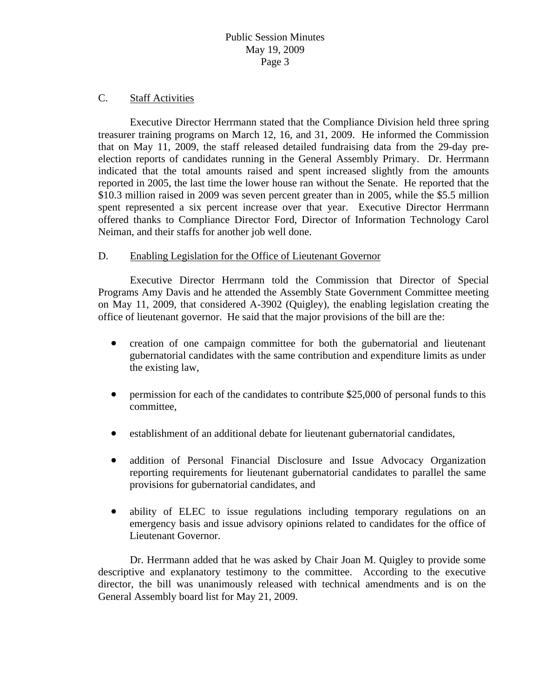#### C. Staff Activities

 Executive Director Herrmann stated that the Compliance Division held three spring treasurer training programs on March 12, 16, and 31, 2009. He informed the Commission that on May 11, 2009, the staff released detailed fundraising data from the 29-day preelection reports of candidates running in the General Assembly Primary. Dr. Herrmann indicated that the total amounts raised and spent increased slightly from the amounts reported in 2005, the last time the lower house ran without the Senate. He reported that the \$10.3 million raised in 2009 was seven percent greater than in 2005, while the \$5.5 million spent represented a six percent increase over that year. Executive Director Herrmann offered thanks to Compliance Director Ford, Director of Information Technology Carol Neiman, and their staffs for another job well done.

### D. Enabling Legislation for the Office of Lieutenant Governor

 Executive Director Herrmann told the Commission that Director of Special Programs Amy Davis and he attended the Assembly State Government Committee meeting on May 11, 2009, that considered A-3902 (Quigley), the enabling legislation creating the office of lieutenant governor. He said that the major provisions of the bill are the:

- creation of one campaign committee for both the gubernatorial and lieutenant gubernatorial candidates with the same contribution and expenditure limits as under the existing law,
- permission for each of the candidates to contribute \$25,000 of personal funds to this committee,
- establishment of an additional debate for lieutenant gubernatorial candidates,
- addition of Personal Financial Disclosure and Issue Advocacy Organization reporting requirements for lieutenant gubernatorial candidates to parallel the same provisions for gubernatorial candidates, and
- ability of ELEC to issue regulations including temporary regulations on an emergency basis and issue advisory opinions related to candidates for the office of Lieutenant Governor.

 Dr. Herrmann added that he was asked by Chair Joan M. Quigley to provide some descriptive and explanatory testimony to the committee. According to the executive director, the bill was unanimously released with technical amendments and is on the General Assembly board list for May 21, 2009.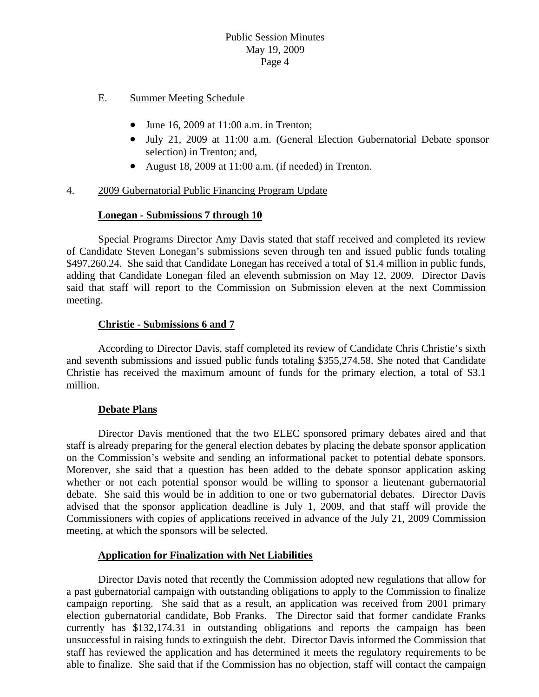- E. Summer Meeting Schedule
	- June 16, 2009 at 11:00 a.m. in Trenton;
	- July 21, 2009 at 11:00 a.m. (General Election Gubernatorial Debate sponsor selection) in Trenton; and,
	- August 18, 2009 at 11:00 a.m. (if needed) in Trenton.

### 4. 2009 Gubernatorial Public Financing Program Update

## **Lonegan - Submissions 7 through 10**

 Special Programs Director Amy Davis stated that staff received and completed its review of Candidate Steven Lonegan's submissions seven through ten and issued public funds totaling \$497,260.24. She said that Candidate Lonegan has received a total of \$1.4 million in public funds, adding that Candidate Lonegan filed an eleventh submission on May 12, 2009. Director Davis said that staff will report to the Commission on Submission eleven at the next Commission meeting.

## **Christie - Submissions 6 and 7**

 According to Director Davis, staff completed its review of Candidate Chris Christie's sixth and seventh submissions and issued public funds totaling \$355,274.58. She noted that Candidate Christie has received the maximum amount of funds for the primary election, a total of \$3.1 million.

### **Debate Plans**

 Director Davis mentioned that the two ELEC sponsored primary debates aired and that staff is already preparing for the general election debates by placing the debate sponsor application on the Commission's website and sending an informational packet to potential debate sponsors. Moreover, she said that a question has been added to the debate sponsor application asking whether or not each potential sponsor would be willing to sponsor a lieutenant gubernatorial debate. She said this would be in addition to one or two gubernatorial debates. Director Davis advised that the sponsor application deadline is July 1, 2009, and that staff will provide the Commissioners with copies of applications received in advance of the July 21, 2009 Commission meeting, at which the sponsors will be selected.

### **Application for Finalization with Net Liabilities**

 Director Davis noted that recently the Commission adopted new regulations that allow for a past gubernatorial campaign with outstanding obligations to apply to the Commission to finalize campaign reporting. She said that as a result, an application was received from 2001 primary election gubernatorial candidate, Bob Franks. The Director said that former candidate Franks currently has \$132,174.31 in outstanding obligations and reports the campaign has been unsuccessful in raising funds to extinguish the debt. Director Davis informed the Commission that staff has reviewed the application and has determined it meets the regulatory requirements to be able to finalize. She said that if the Commission has no objection, staff will contact the campaign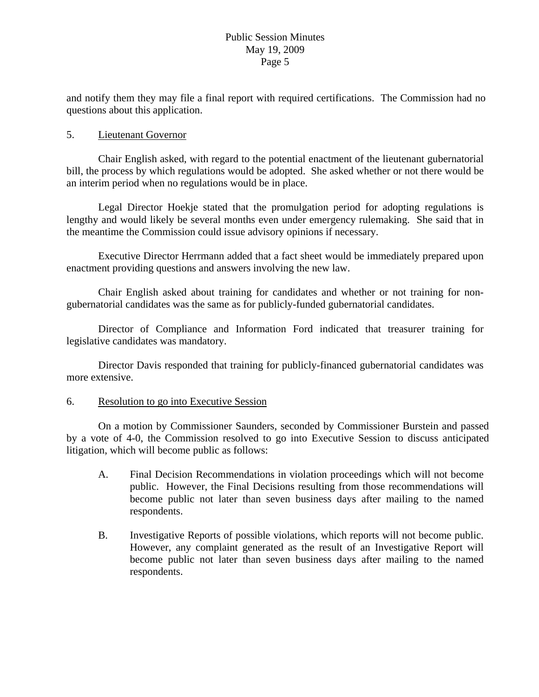and notify them they may file a final report with required certifications. The Commission had no questions about this application.

## 5. Lieutenant Governor

 Chair English asked, with regard to the potential enactment of the lieutenant gubernatorial bill, the process by which regulations would be adopted. She asked whether or not there would be an interim period when no regulations would be in place.

 Legal Director Hoekje stated that the promulgation period for adopting regulations is lengthy and would likely be several months even under emergency rulemaking. She said that in the meantime the Commission could issue advisory opinions if necessary.

 Executive Director Herrmann added that a fact sheet would be immediately prepared upon enactment providing questions and answers involving the new law.

 Chair English asked about training for candidates and whether or not training for nongubernatorial candidates was the same as for publicly-funded gubernatorial candidates.

 Director of Compliance and Information Ford indicated that treasurer training for legislative candidates was mandatory.

 Director Davis responded that training for publicly-financed gubernatorial candidates was more extensive.

### 6. Resolution to go into Executive Session

 On a motion by Commissioner Saunders, seconded by Commissioner Burstein and passed by a vote of 4-0, the Commission resolved to go into Executive Session to discuss anticipated litigation, which will become public as follows:

- A. Final Decision Recommendations in violation proceedings which will not become public. However, the Final Decisions resulting from those recommendations will become public not later than seven business days after mailing to the named respondents.
- B. Investigative Reports of possible violations, which reports will not become public. However, any complaint generated as the result of an Investigative Report will become public not later than seven business days after mailing to the named respondents.